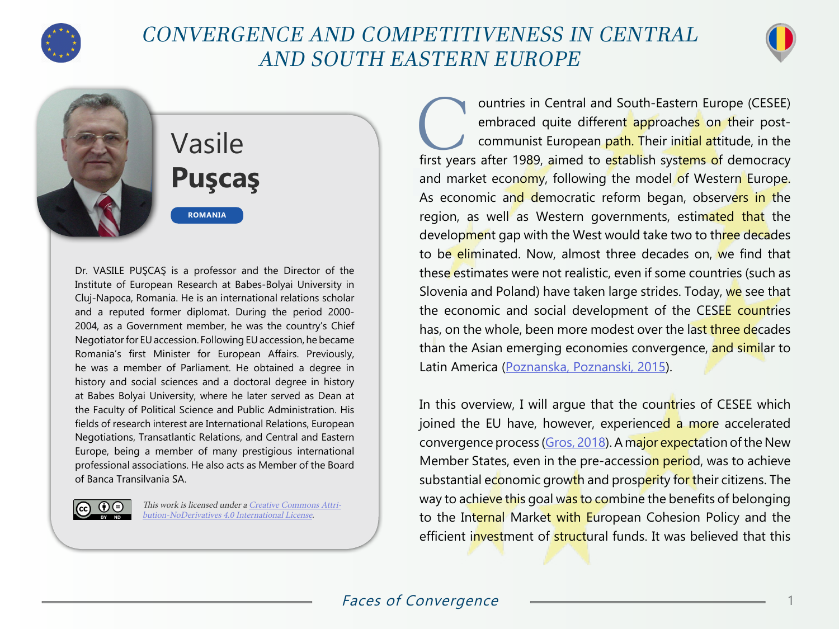

## CONVERGENCE AND COMPETITIVENESS IN CENTRAL AND SOUTH EASTERN EUROPE



## Vasile **Puşcaş**

**ROMANIA**

Dr. VASILE PUŞCAŞ is a professor and the Director of the Institute of European Research at Babes-Bolyai University in Cluj-Napoca, Romania. He is an international relations scholar and a reputed former diplomat. During the period 2000- 2004, as a Government member, he was the country's Chief Negotiator for EU accession. Following EU accession, he became Romania's first Minister for European Affairs. Previously, he was a member of Parliament. He obtained a degree in history and social sciences and a doctoral degree in history at Babes Bolyai University, where he later served as Dean at the Faculty of Political Science and Public Administration. His fields of research interest are International Relations, European Negotiations, Transatlantic Relations, and Central and Eastern Europe, being a member of many prestigious international professional associations. He also acts as Member of the Board of Banca Transilvania SA.



This work is licensed under a [Creative Commons Attri](https://creativecommons.org/licenses/by-nd/4.0/)[bution-NoDerivatives 4.0 International License](https://creativecommons.org/licenses/by-nd/4.0/).

**Countries in Central and South-Eastern Europe (CESEE)**<br>
embraced quite different approaches on their post-<br>
communist European path. Their initial attitude, in the<br>
first years after 1989, aimed to establish systems of de embraced quite different approaches on their postcommunist European path. Their initial attitude, in the and market economy, following the model of Western Europe. As economic and democratic reform began, observers in the region, as well as Western governments, estimated that the development gap with the West would take two to three decades to be eliminated. Now, almost three decades on, we find that these estimates were not realistic, even if some countries (such as Slovenia and Poland) have taken large strides. Today, we see that the economic and social development of the CESEE countries has, on the whole, been more modest over the last three decades than the Asian emerging economies convergence, and similar to Latin America [\(Poznanska, Poznanski, 2015](https://ideas.repec.org/a/vrs/coecre/v18y2015i1p5-23n1.html)).

In this overview, I will argue that the countries of CESEE which joined the EU have, however, experienced a more accelerated convergence process ([Gros, 2018\)](https://www.ceps.eu/ceps-publications/convergence-european-union-inside-and-outside-euro/). A major expectation of the New Member States, even in the pre-accession period, was to achieve substantial economic growth and prosperity for their citizens. The way to achieve this goal was to combine the benefits of belonging to the Internal Market with European Cohesion Policy and the efficient investment of structural funds. It was believed that this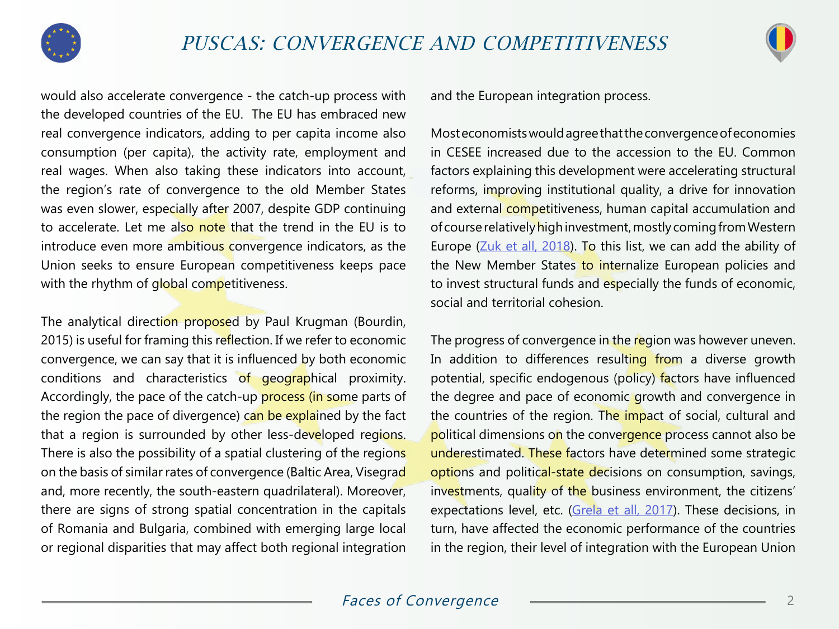



would also accelerate convergence - the catch-up process with the developed countries of the EU. The EU has embraced new real convergence indicators, adding to per capita income also consumption (per capita), the activity rate, employment and real wages. When also taking these indicators into account, the region's rate of convergence to the old Member States was even slower, especially after 2007, despite GDP continuing to accelerate. Let me also note that the trend in the EU is to introduce even more ambitious convergence indicators, as the Union seeks to ensure European competitiveness keeps pace with the rhythm of global competitiveness.

The analytical direction proposed by Paul Krugman (Bourdin, 2015) is useful for framing this reflection. If we refer to economic convergence, we can say that it is influenced by both economic conditions and characteristics of geographical proximity. Accordingly, the pace of the catch-up process (in some parts of the region the pace of divergence) can be explained by the fact that a region is surrounded by other less-developed regions. There is also the possibility of a spatial clustering of the regions on the basis of similar rates of convergence (Baltic Area, Visegrad and, more recently, the south-eastern quadrilateral). Moreover, there are signs of strong spatial concentration in the capitals of Romania and Bulgaria, combined with emerging large local or regional disparities that may affect both regional integration

and the European integration process.

Most economists would agree that the convergence of economies in CESEE increased due to the accession to the EU. Common factors explaining this development were accelerating structural reforms, improving institutional quality, a drive for innovation and external competitiveness, human capital accumulation and of course relatively high investment, mostly coming from Western Europe ([Zuk et all, 2018\)](https://www.ecb.europa.eu/pub/pdf/other/ecb.ebart201803_01.en.pdf?11251773fa4b91219aa01b019c749f82). To this list, we can add the ability of the New Member States to internalize European policies and to invest structural funds and especially the funds of economic, social and territorial cohesion.

The progress of convergence in the region was however uneven. In addition to differences resulting from a diverse growth potential, specific endogenous (policy) factors have influenced the degree and pace of economic growth and convergence in the countries of the region. The impact of social, cultural and political dimensions on the convergence process cannot also be underestimated. These factors have determined some strategic options and political-state decisions on consumption, savings, investments, quality of the business environment, the citizens' expectations level, etc. [\(Grela et all, 2017\)](http://www.nbp.pl/publikacje/materialy_i_studia/264_en.pdf). These decisions, in turn, have affected the economic performance of the countries in the region, their level of integration with the European Union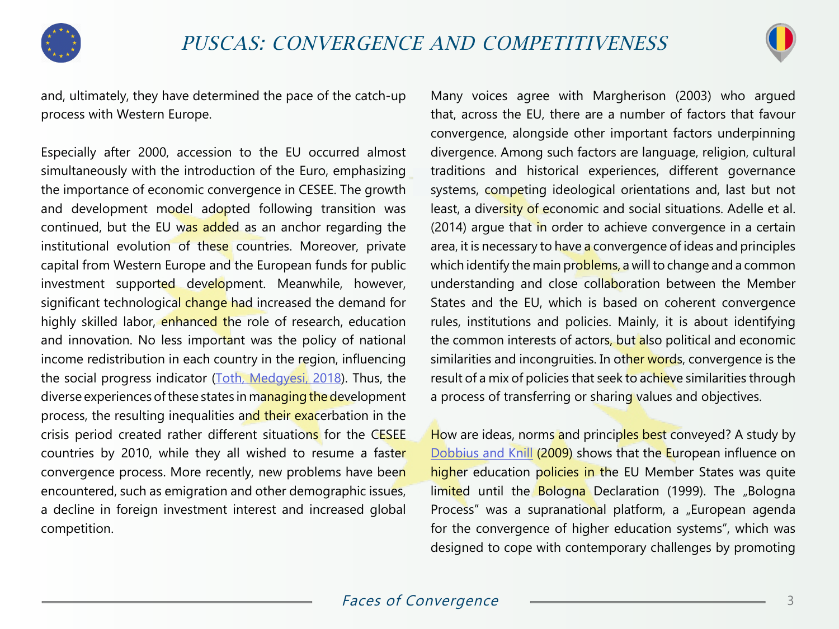



and, ultimately, they have determined the pace of the catch-up process with Western Europe.

Especially after 2000, accession to the EU occurred almost simultaneously with the introduction of the Euro, emphasizing the importance of economic convergence in CESEE. The growth and development model adopted following transition was continued, but the EU was added as an anchor regarding the institutional evolution of these countries. Moreover, private capital from Western Europe and the European funds for public investment supported development. Meanwhile, however, significant technological change had increased the demand for highly skilled labor, enhanced the role of research, education and innovation. No less important was the policy of national income redistribution in each country in the region, influencing the social progress indicator [\(Toth, Medgyesi, 2018](http://www.iariw.org/copenhagen/toth.pdf)). Thus, the diverse experiences of these states in managing the development process, the resulting inequalities and their exacerbation in the crisis period created rather different situations for the CESEE countries by 2010, while they all wished to resume a faster convergence process. More recently, new problems have been encountered, such as emigration and other demographic issues, a decline in foreign investment interest and increased global competition.

Many voices agree with Margherison (2003) who argued that, across the EU, there are a number of factors that favour convergence, alongside other important factors underpinning divergence. Among such factors are language, religion, cultural traditions and historical experiences, different governance systems, competing ideological orientations and, last but not least, a diversity of economic and social situations. Adelle et al. (2014) argue that in order to achieve convergence in a certain area, it is necessary to have a convergence of ideas and principles which identify the main problems, a will to change and a common understanding and close collaboration between the Member States and the EU, which is based on coherent convergence rules, institutions and policies. Mainly, it is about identifying the common interests of actors, but also political and economic similarities and incongruities. In other words, convergence is the result of a mix of policies that seek to achieve similarities through a process of transferring or sharing values and objectives.

How are ideas, norms and principles best conveyed? A study by [Dobbius and Knill](https://kops.uni-konstanz.de/bitstream/handle/123456789/3952/xls_higher_education_policies.pdf?sequence=1&isAllowed=y) (2009) shows that the European influence on higher education policies in the EU Member States was quite limited until the Bologna Declaration (1999). The "Bologna Process" was a supranational platform, a "European agenda for the convergence of higher education systems", which was designed to cope with contemporary challenges by promoting